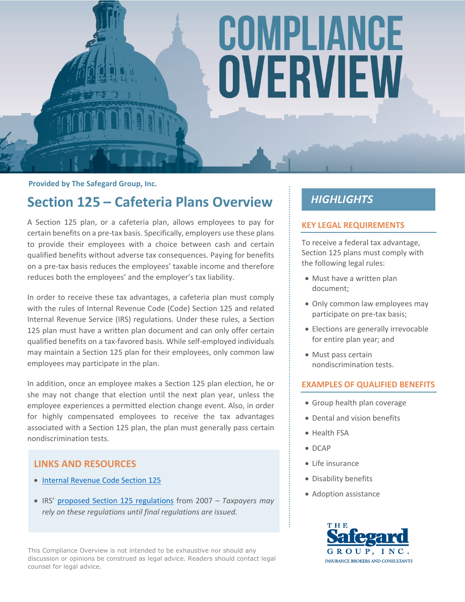# COMPLIANCE OVERVIEW

**Provided by The Safegard Group, Inc.**

## **Section 125 – Cafeteria Plans Overview**

A Section 125 plan, or a cafeteria plan, allows employees to pay for certain benefits on a pre-tax basis. Specifically, employers use these plans to provide their employees with a choice between cash and certain qualified benefits without adverse tax consequences. Paying for benefits on a pre-tax basis reduces the employees' taxable income and therefore reduces both the employees' and the employer's tax liability.

In order to receive these tax advantages, a cafeteria plan must comply with the rules of Internal Revenue Code (Code) Section 125 and related Internal Revenue Service (IRS) regulations. Under these rules, a Section 125 plan must have a written plan document and can only offer certain qualified benefits on a tax-favored basis. While self-employed individuals may maintain a Section 125 plan for their employees, only common law employees may participate in the plan.

In addition, once an employee makes a Section 125 plan election, he or she may not change that election until the next plan year, unless the employee experiences a permitted election change event. Also, in order for highly compensated employees to receive the tax advantages associated with a Section 125 plan, the plan must generally pass certain nondiscrimination tests.

#### **LINKS AND RESOURCES**

- [Internal Revenue Code Section 125](https://www.law.cornell.edu/uscode/text/26/125)
- IRS' [proposed Section 125 regulations](https://www.federalregister.gov/articles/2007/08/06/E7-14827/employee-benefits-cafeteria-plans) from 2007 *Taxpayers may rely on these regulations until final regulations are issued.*

This Compliance Overview is not intended to be exhaustive nor should any discussion or opinions be construed as legal advice. Readers should contact legal counsel for legal advice.

### **HIGHLIGHTS**

#### **KEY LEGAL REQUIREMENTS**

To receive a federal tax advantage, Section 125 plans must comply with the following legal rules:

- Must have a written plan document;
- Only common law employees may participate on pre-tax basis;
- Elections are generally irrevocable for entire plan year; and
- Must pass certain nondiscrimination tests.

#### **EXAMPLES OF QUALIFIED BENEFITS**

- Group health plan coverage
- Dental and vision benefits
- Health FSA
- DCAP
- Life insurance
- Disability benefits
- Adoption assistance

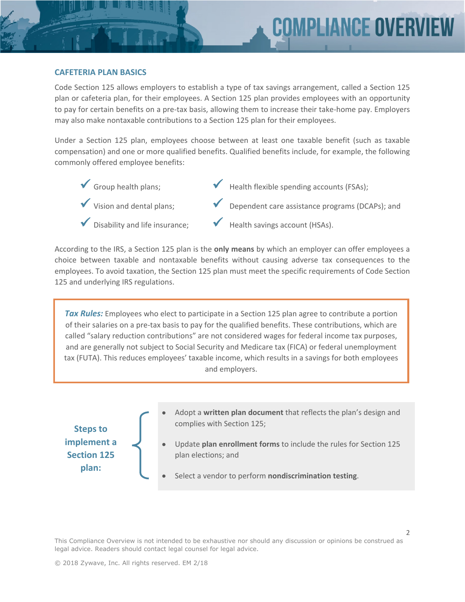#### **CAFETERIA PLAN BASICS**

Code Section 125 allows employers to establish a type of tax savings arrangement, called a Section 125 plan or cafeteria plan, for their employees. A Section 125 plan provides employees with an opportunity to pay for certain benefits on a pre-tax basis, allowing them to increase their take-home pay. Employers may also make nontaxable contributions to a Section 125 plan for their employees.

Under a Section 125 plan, employees choose between at least one taxable benefit (such as taxable compensation) and one or more qualified benefits. Qualified benefits include, for example, the following commonly offered employee benefits:



- 
- Disability and life insurance;
- Health flexible spending accounts (FSAs);
- Dependent care assistance programs (DCAPs); and
- Health savings account (HSAs).

According to the IRS, a Section 125 plan is the **only means** by which an employer can offer employees a choice between taxable and nontaxable benefits without causing adverse tax consequences to the employees. To avoid taxation, the Section 125 plan must meet the specific requirements of Code Section 125 and underlying IRS regulations.

*Tax Rules:* Employees who elect to participate in a Section 125 plan agree to contribute a portion of their salaries on a pre-tax basis to pay for the qualified benefits. These contributions, which are called "salary reduction contributions" are not considered wages for federal income tax purposes, and are generally not subject to Social Security and Medicare tax (FICA) or federal unemployment tax (FUTA). This reduces employees' taxable income, which results in a savings for both employees and employers.

**Steps to implement a Section 125 plan:**

- Adopt a **written plan document** that reflects the plan's design and complies with Section 125;
- Update **plan enrollment forms** to include the rules for Section 125 plan elections; and
- Select a vendor to perform **nondiscrimination testing**.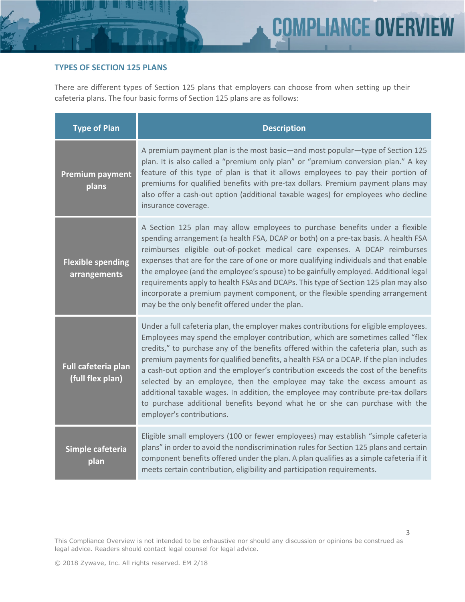#### **TYPES OF SECTION 125 PLANS**

There are different types of Section 125 plans that employers can choose from when setting up their cafeteria plans. The four basic forms of Section 125 plans are as follows:

| <b>Type of Plan</b>                      | <b>Description</b>                                                                                                                                                                                                                                                                                                                                                                                                                                                                                                                                                                                                                                                                                                            |
|------------------------------------------|-------------------------------------------------------------------------------------------------------------------------------------------------------------------------------------------------------------------------------------------------------------------------------------------------------------------------------------------------------------------------------------------------------------------------------------------------------------------------------------------------------------------------------------------------------------------------------------------------------------------------------------------------------------------------------------------------------------------------------|
| <b>Premium payment</b><br>plans          | A premium payment plan is the most basic—and most popular—type of Section 125<br>plan. It is also called a "premium only plan" or "premium conversion plan." A key<br>feature of this type of plan is that it allows employees to pay their portion of<br>premiums for qualified benefits with pre-tax dollars. Premium payment plans may<br>also offer a cash-out option (additional taxable wages) for employees who decline<br>insurance coverage.                                                                                                                                                                                                                                                                         |
| <b>Flexible spending</b><br>arrangements | A Section 125 plan may allow employees to purchase benefits under a flexible<br>spending arrangement (a health FSA, DCAP or both) on a pre-tax basis. A health FSA<br>reimburses eligible out-of-pocket medical care expenses. A DCAP reimburses<br>expenses that are for the care of one or more qualifying individuals and that enable<br>the employee (and the employee's spouse) to be gainfully employed. Additional legal<br>requirements apply to health FSAs and DCAPs. This type of Section 125 plan may also<br>incorporate a premium payment component, or the flexible spending arrangement<br>may be the only benefit offered under the plan.                                                                    |
| Full cafeteria plan<br>(full flex plan)  | Under a full cafeteria plan, the employer makes contributions for eligible employees.<br>Employees may spend the employer contribution, which are sometimes called "flex<br>credits," to purchase any of the benefits offered within the cafeteria plan, such as<br>premium payments for qualified benefits, a health FSA or a DCAP. If the plan includes<br>a cash-out option and the employer's contribution exceeds the cost of the benefits<br>selected by an employee, then the employee may take the excess amount as<br>additional taxable wages. In addition, the employee may contribute pre-tax dollars<br>to purchase additional benefits beyond what he or she can purchase with the<br>employer's contributions. |
| Simple cafeteria<br>plan                 | Eligible small employers (100 or fewer employees) may establish "simple cafeteria<br>plans" in order to avoid the nondiscrimination rules for Section 125 plans and certain<br>component benefits offered under the plan. A plan qualifies as a simple cafeteria if it<br>meets certain contribution, eligibility and participation requirements.                                                                                                                                                                                                                                                                                                                                                                             |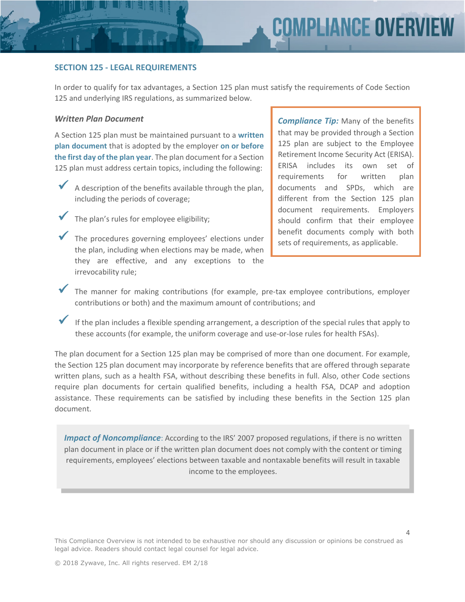#### **SECTION 125 - LEGAL REQUIREMENTS**

In order to qualify for tax advantages, a Section 125 plan must satisfy the requirements of Code Section 125 and underlying IRS regulations, as summarized below.

#### *Written Plan Document*

A Section 125 plan must be maintained pursuant to a **written plan document** that is adopted by the employer **on or before the first day of the plan year**. The plan document for a Section 125 plan must address certain topics, including the following:

- A description of the benefits available through the plan, including the periods of coverage;
	- The plan's rules for employee eligibility;
	- The procedures governing employees' elections under the plan, including when elections may be made, when they are effective, and any exceptions to the irrevocability rule;

*Compliance Tip:* Many of the benefits that may be provided through a Section 125 plan are subject to the Employee Retirement Income Security Act (ERISA). ERISA includes its own set of requirements for written plan documents and SPDs, which are different from the Section 125 plan document requirements. Employers should confirm that their employee benefit documents comply with both sets of requirements, as applicable.

- The manner for making contributions (for example, pre-tax employee contributions, employer contributions or both) and the maximum amount of contributions; and
- If the plan includes a flexible spending arrangement, a description of the special rules that apply to these accounts (for example, the uniform coverage and use-or-lose rules for health FSAs).

The plan document for a Section 125 plan may be comprised of more than one document. For example, the Section 125 plan document may incorporate by reference benefits that are offered through separate written plans, such as a health FSA, without describing these benefits in full. Also, other Code sections require plan documents for certain qualified benefits, including a health FSA, DCAP and adoption assistance. These requirements can be satisfied by including these benefits in the Section 125 plan document.

*Impact of Noncompliance*: According to the IRS' 2007 proposed regulations, if there is no written plan document in place or if the written plan document does not comply with the content or timing requirements, employees' elections between taxable and nontaxable benefits will result in taxable income to the employees.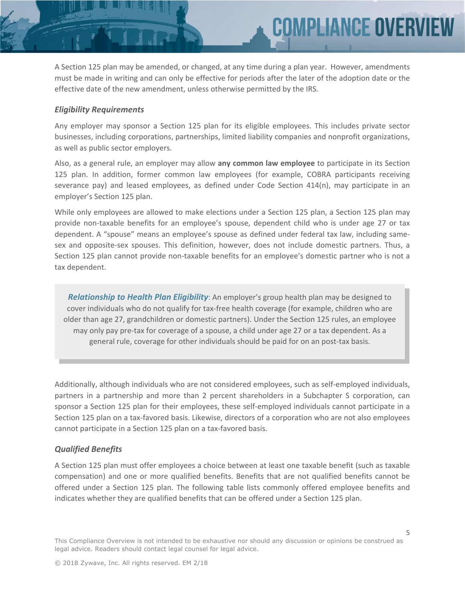A Section 125 plan may be amended, or changed, at any time during a plan year. However, amendments must be made in writing and can only be effective for periods after the later of the adoption date or the effective date of the new amendment, unless otherwise permitted by the IRS.

**MPLIANCE OVER** 

#### *Eligibility Requirements*

Any employer may sponsor a Section 125 plan for its eligible employees. This includes private sector businesses, including corporations, partnerships, limited liability companies and nonprofit organizations, as well as public sector employers.

Also, as a general rule, an employer may allow **any common law employee** to participate in its Section 125 plan. In addition, former common law employees (for example, COBRA participants receiving severance pay) and leased employees, as defined under Code Section 414(n), may participate in an employer's Section 125 plan.

While only employees are allowed to make elections under a Section 125 plan, a Section 125 plan may provide non-taxable benefits for an employee's spouse, dependent child who is under age 27 or tax dependent. A "spouse" means an employee's spouse as defined under federal tax law, including samesex and opposite-sex spouses. This definition, however, does not include domestic partners. Thus, a Section 125 plan cannot provide non-taxable benefits for an employee's domestic partner who is not a tax dependent.

*Relationship to Health Plan Eligibility*: An employer's group health plan may be designed to cover individuals who do not qualify for tax-free health coverage (for example, children who are older than age 27, grandchildren or domestic partners). Under the Section 125 rules, an employee may only pay pre-tax for coverage of a spouse, a child under age 27 or a tax dependent. As a general rule, coverage for other individuals should be paid for on an post-tax basis.

Additionally, although individuals who are not considered employees, such as self-employed individuals, partners in a partnership and more than 2 percent shareholders in a Subchapter S corporation, can sponsor a Section 125 plan for their employees, these self-employed individuals cannot participate in a Section 125 plan on a tax-favored basis. Likewise, directors of a corporation who are not also employees cannot participate in a Section 125 plan on a tax-favored basis.

#### *Qualified Benefits*

A Section 125 plan must offer employees a choice between at least one taxable benefit (such as taxable compensation) and one or more qualified benefits. Benefits that are not qualified benefits cannot be offered under a Section 125 plan. The following table lists commonly offered employee benefits and indicates whether they are qualified benefits that can be offered under a Section 125 plan.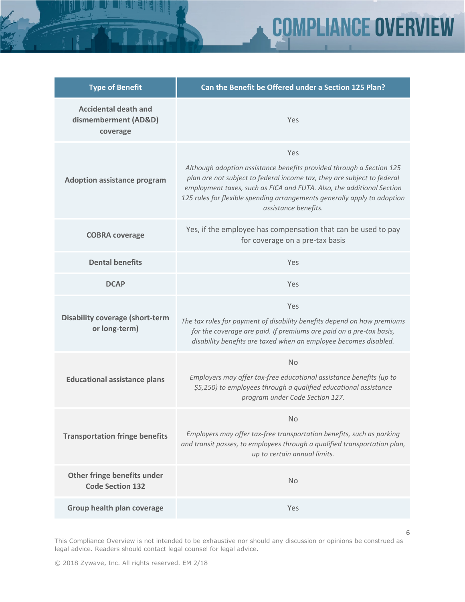| <b>Type of Benefit</b>                                          | Can the Benefit be Offered under a Section 125 Plan?                                                                                                                                                                                                                                                                                |
|-----------------------------------------------------------------|-------------------------------------------------------------------------------------------------------------------------------------------------------------------------------------------------------------------------------------------------------------------------------------------------------------------------------------|
| <b>Accidental death and</b><br>dismemberment (AD&D)<br>coverage | Yes                                                                                                                                                                                                                                                                                                                                 |
| <b>Adoption assistance program</b>                              | Yes<br>Although adoption assistance benefits provided through a Section 125<br>plan are not subject to federal income tax, they are subject to federal<br>employment taxes, such as FICA and FUTA. Also, the additional Section<br>125 rules for flexible spending arrangements generally apply to adoption<br>assistance benefits. |
| <b>COBRA coverage</b>                                           | Yes, if the employee has compensation that can be used to pay<br>for coverage on a pre-tax basis                                                                                                                                                                                                                                    |
| <b>Dental benefits</b>                                          | Yes                                                                                                                                                                                                                                                                                                                                 |
| <b>DCAP</b>                                                     | Yes                                                                                                                                                                                                                                                                                                                                 |
| <b>Disability coverage (short-term</b><br>or long-term)         | Yes<br>The tax rules for payment of disability benefits depend on how premiums<br>for the coverage are paid. If premiums are paid on a pre-tax basis,<br>disability benefits are taxed when an employee becomes disabled.                                                                                                           |
| <b>Educational assistance plans</b>                             | <b>No</b><br>Employers may offer tax-free educational assistance benefits (up to<br>\$5,250) to employees through a qualified educational assistance<br>program under Code Section 127.                                                                                                                                             |
| <b>Transportation fringe benefits</b>                           | <b>No</b><br>Employers may offer tax-free transportation benefits, such as parking<br>and transit passes, to employees through a qualified transportation plan,<br>up to certain annual limits.                                                                                                                                     |
| Other fringe benefits under<br><b>Code Section 132</b>          | <b>No</b>                                                                                                                                                                                                                                                                                                                           |
| Group health plan coverage                                      | Yes                                                                                                                                                                                                                                                                                                                                 |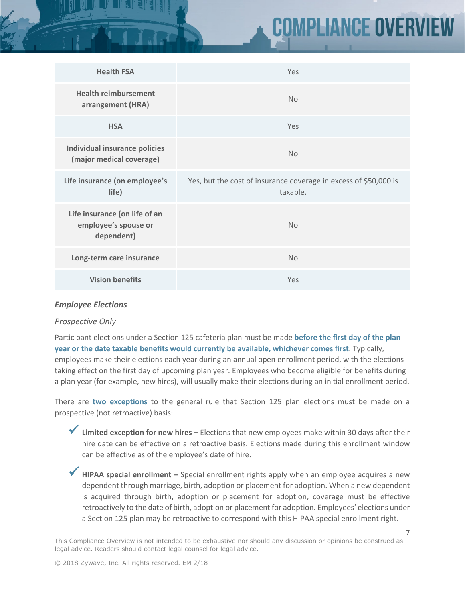# **MPLIANCE OVERV**

| <b>Health FSA</b>                                                   | Yes                                                                          |
|---------------------------------------------------------------------|------------------------------------------------------------------------------|
| <b>Health reimbursement</b><br>arrangement (HRA)                    | <b>No</b>                                                                    |
| <b>HSA</b>                                                          | Yes                                                                          |
| <b>Individual insurance policies</b><br>(major medical coverage)    | <b>No</b>                                                                    |
| Life insurance (on employee's<br>life)                              | Yes, but the cost of insurance coverage in excess of \$50,000 is<br>taxable. |
| Life insurance (on life of an<br>employee's spouse or<br>dependent) | <b>No</b>                                                                    |
| Long-term care insurance                                            | <b>No</b>                                                                    |
| <b>Vision benefits</b>                                              | Yes                                                                          |

#### *Employee Elections*

#### *Prospective Only*

Participant elections under a Section 125 cafeteria plan must be made **before the first day of the plan year or the date taxable benefits would currently be available, whichever comes first**. Typically, employees make their elections each year during an annual open enrollment period, with the elections taking effect on the first day of upcoming plan year. Employees who become eligible for benefits during a plan year (for example, new hires), will usually make their elections during an initial enrollment period.

There are **two exceptions** to the general rule that Section 125 plan elections must be made on a prospective (not retroactive) basis:

◆ Limited exception for new hires – Elections that new employees make within 30 days after their hire date can be effective on a retroactive basis. Elections made during this enrollment window can be effective as of the employee's date of hire.

◆ **HIPAA special enrollment** – Special enrollment rights apply when an employee acquires a new dependent through marriage, birth, adoption or placement for adoption. When a new dependent is acquired through birth, adoption or placement for adoption, coverage must be effective retroactively to the date of birth, adoption or placement for adoption. Employees' elections under a Section 125 plan may be retroactive to correspond with this HIPAA special enrollment right.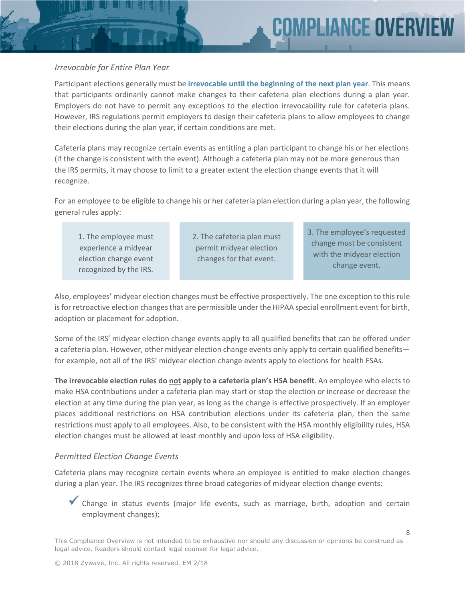#### *Irrevocable for Entire Plan Year*

Participant elections generally must be **irrevocable until the beginning of the next plan year**. This means that participants ordinarily cannot make changes to their cafeteria plan elections during a plan year. Employers do not have to permit any exceptions to the election irrevocability rule for cafeteria plans. However, IRS regulations permit employers to design their cafeteria plans to allow employees to change their elections during the plan year, if certain conditions are met.

Cafeteria plans may recognize certain events as entitling a plan participant to change his or her elections (if the change is consistent with the event). Although a cafeteria plan may not be more generous than the IRS permits, it may choose to limit to a greater extent the election change events that it will recognize.

For an employee to be eligible to change his or her cafeteria plan election during a plan year, the following general rules apply:

1. The employee must experience a midyear election change event recognized by the IRS. 2. The cafeteria plan must permit midyear election changes for that event.

3. The employee's requested change must be consistent with the midyear election change event.

Also, employees' midyear election changes must be effective prospectively. The one exception to this rule is for retroactive election changes that are permissible under the HIPAA special enrollment event for birth, adoption or placement for adoption.

Some of the IRS' midyear election change events apply to all qualified benefits that can be offered under a cafeteria plan. However, other midyear election change events only apply to certain qualified benefits for example, not all of the IRS' midyear election change events apply to elections for health FSAs.

**The irrevocable election rules do not apply to a cafeteria plan's HSA benefit**. An employee who elects to make HSA contributions under a cafeteria plan may start or stop the election or increase or decrease the election at any time during the plan year, as long as the change is effective prospectively. If an employer places additional restrictions on HSA contribution elections under its cafeteria plan, then the same restrictions must apply to all employees. Also, to be consistent with the HSA monthly eligibility rules, HSA election changes must be allowed at least monthly and upon loss of HSA eligibility.

#### *Permitted Election Change Events*

Cafeteria plans may recognize certain events where an employee is entitled to make election changes during a plan year. The IRS recognizes three broad categories of midyear election change events:

 Change in status events (major life events, such as marriage, birth, adoption and certain employment changes);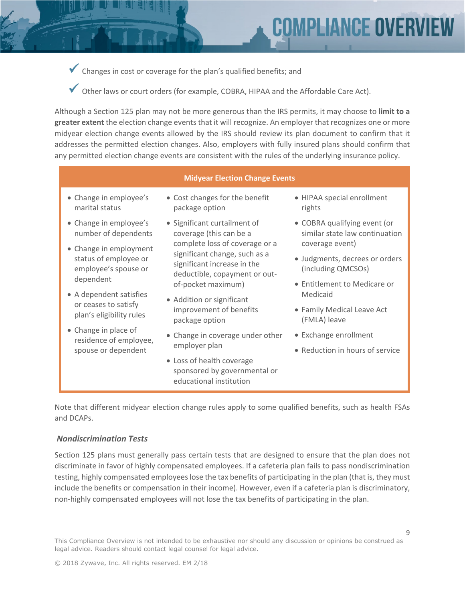Changes in cost or coverage for the plan's qualified benefits; and

Other laws or court orders (for example, COBRA, HIPAA and the Affordable Care Act).

Although a Section 125 plan may not be more generous than the IRS permits, it may choose to **limit to a greater extent** the election change events that it will recognize. An employer that recognizes one or more midyear election change events allowed by the IRS should review its plan document to confirm that it addresses the permitted election changes. Also, employers with fully insured plans should confirm that any permitted election change events are consistent with the rules of the underlying insurance policy.

#### **Midyear Election Change Events**

- Change in employee's marital status
- Change in employee's number of dependents
- Change in employment status of employee or employee's spouse or dependent
- A dependent satisfies or ceases to satisfy plan's eligibility rules
- Change in place of residence of employee, spouse or dependent
- Cost changes for the benefit package option
- Significant curtailment of coverage (this can be a complete loss of coverage or a significant change, such as a significant increase in the deductible, copayment or outof-pocket maximum)
- Addition or significant improvement of benefits package option
- Change in coverage under other employer plan
- Loss of health coverage sponsored by governmental or educational institution

 HIPAA special enrollment rights

**COMPLIANCE OVERV** 

- COBRA qualifying event (or similar state law continuation coverage event)
- Judgments, decrees or orders (including QMCSOs)
- Entitlement to Medicare or Medicaid
- Family Medical Leave Act (FMLA) leave
- Exchange enrollment
- Reduction in hours of service

Note that different midyear election change rules apply to some qualified benefits, such as health FSAs and DCAPs.

#### *Nondiscrimination Tests*

Section 125 plans must generally pass certain tests that are designed to ensure that the plan does not discriminate in favor of highly compensated employees. If a cafeteria plan fails to pass nondiscrimination testing, highly compensated employees lose the tax benefits of participating in the plan (that is, they must include the benefits or compensation in their income). However, even if a cafeteria plan is discriminatory, non-highly compensated employees will not lose the tax benefits of participating in the plan.